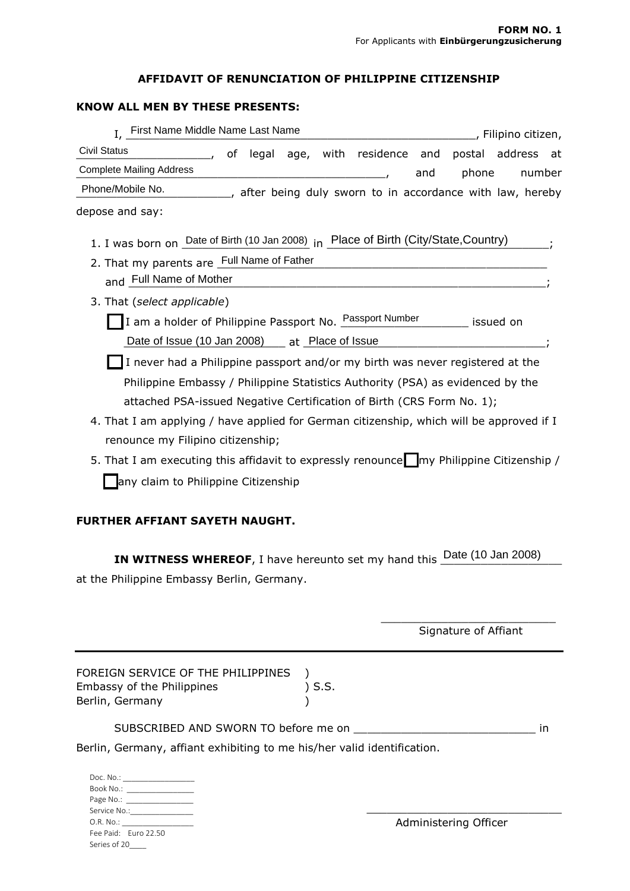### **AFFIDAVIT OF RENUNCIATION OF PHILIPPINE CITIZENSHIP**

### **KNOW ALL MEN BY THESE PRESENTS:**

| I, First Name Middle Name Last Name<br>, Filipino citizen,                               |  |  |  |  |
|------------------------------------------------------------------------------------------|--|--|--|--|
| <b>Civil Status</b><br>of legal age, with residence and<br>address<br>postal<br>- at     |  |  |  |  |
| <b>Complete Mailing Address</b><br>phone<br>number<br>and                                |  |  |  |  |
| Phone/Mobile No.<br>___, after being duly sworn to in accordance with law, hereby        |  |  |  |  |
| depose and say:                                                                          |  |  |  |  |
| 1. I was born on Date of Birth (10 Jan 2008) in Place of Birth (City/State, Country)     |  |  |  |  |
| 2. That my parents are Full Name of Father                                               |  |  |  |  |
| and Full Name of Mother                                                                  |  |  |  |  |
| 3. That (select applicable)                                                              |  |  |  |  |
| I am a holder of Philippine Passport No. Passport Number issued on                       |  |  |  |  |
| Date of Issue (10 Jan 2008) __ at Place of Issue                                         |  |  |  |  |
| I never had a Philippine passport and/or my birth was never registered at the            |  |  |  |  |
| Philippine Embassy / Philippine Statistics Authority (PSA) as evidenced by the           |  |  |  |  |
| attached PSA-issued Negative Certification of Birth (CRS Form No. 1);                    |  |  |  |  |
| 4. That I am applying / have applied for German citizenship, which will be approved if I |  |  |  |  |
| renounce my Filipino citizenship;                                                        |  |  |  |  |
| 5. That I am executing this affidavit to expressly renounce my Philippine Citizenship /  |  |  |  |  |
| any claim to Philippine Citizenship                                                      |  |  |  |  |

# **FURTHER AFFIANT SAYETH NAUGHT.**

**IN WITNESS WHEREOF**, I have hereunto set my hand this **Date (10 Jan 2008)** at the Philippine Embassy Berlin, Germany.

> \_\_\_\_\_\_\_\_\_\_\_\_\_\_\_\_\_\_\_\_\_\_\_\_\_\_ Signature of Affiant

| FOREIGN SERVICE OF THE PHILIPPINES |        |
|------------------------------------|--------|
| Embassy of the Philippines         | ) S.S. |
| Berlin, Germany                    |        |

|  | SUBSCRIBED AND SWORN TO before me on |  |
|--|--------------------------------------|--|
|  |                                      |  |

Berlin, Germany, affiant exhibiting to me his/her valid identification.

|                             | Doc. No.: <b>Figure 1999</b>                                                                                                                                                                                                  |  |  |  |
|-----------------------------|-------------------------------------------------------------------------------------------------------------------------------------------------------------------------------------------------------------------------------|--|--|--|
| Book No.:                   |                                                                                                                                                                                                                               |  |  |  |
|                             | Page No.: ________________                                                                                                                                                                                                    |  |  |  |
| Service No.: <b>Service</b> |                                                                                                                                                                                                                               |  |  |  |
|                             | O.R. No.: and the contract of the contract of the contract of the contract of the contract of the contract of the contract of the contract of the contract of the contract of the contract of the contract of the contract of |  |  |  |
|                             | Fee Paid: Furo 22.50                                                                                                                                                                                                          |  |  |  |
| Series of 20                |                                                                                                                                                                                                                               |  |  |  |

Administering Officer

\_\_\_\_\_\_\_\_\_\_\_\_\_\_\_\_\_\_\_\_\_\_\_\_\_\_\_\_\_